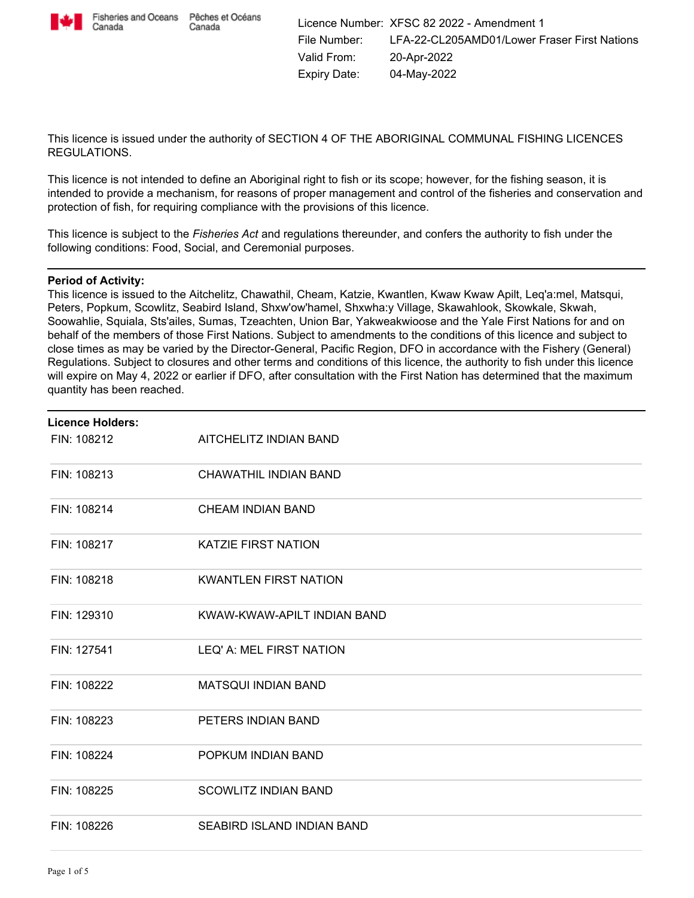

Canada

This licence is issued under the authority of SECTION 4 OF THE ABORIGINAL COMMUNAL FISHING LICENCES REGULATIONS.

This licence is not intended to define an Aboriginal right to fish or its scope; however, for the fishing season, it is intended to provide a mechanism, for reasons of proper management and control of the fisheries and conservation and protection of fish, for requiring compliance with the provisions of this licence.

This licence is subject to the *Fisheries Act* and regulations thereunder, and confers the authority to fish under the following conditions: Food, Social, and Ceremonial purposes.

### **Period of Activity:**

This licence is issued to the Aitchelitz, Chawathil, Cheam, Katzie, Kwantlen, Kwaw Kwaw Apilt, Leq'a:mel, Matsqui, Peters, Popkum, Scowlitz, Seabird Island, Shxw'ow'hamel, Shxwha:y Village, Skawahlook, Skowkale, Skwah, Soowahlie, Squiala, Sts'ailes, Sumas, Tzeachten, Union Bar, Yakweakwioose and the Yale First Nations for and on behalf of the members of those First Nations. Subject to amendments to the conditions of this licence and subject to close times as may be varied by the Director-General, Pacific Region, DFO in accordance with the Fishery (General) Regulations. Subject to closures and other terms and conditions of this licence, the authority to fish under this licence will expire on May 4, 2022 or earlier if DFO, after consultation with the First Nation has determined that the maximum quantity has been reached.

| <b>Licence Holders:</b> |                              |  |
|-------------------------|------------------------------|--|
| FIN: 108212             | AITCHELITZ INDIAN BAND       |  |
| FIN: 108213             | CHAWATHIL INDIAN BAND        |  |
| FIN: 108214             | <b>CHEAM INDIAN BAND</b>     |  |
| FIN: 108217             | <b>KATZIE FIRST NATION</b>   |  |
| FIN: 108218             | <b>KWANTLEN FIRST NATION</b> |  |
| FIN: 129310             | KWAW-KWAW-APILT INDIAN BAND  |  |
| FIN: 127541             | LEQ' A: MEL FIRST NATION     |  |
| FIN: 108222             | <b>MATSQUI INDIAN BAND</b>   |  |
| FIN: 108223             | PETERS INDIAN BAND           |  |
| FIN: 108224             | POPKUM INDIAN BAND           |  |
| FIN: 108225             | <b>SCOWLITZ INDIAN BAND</b>  |  |
| FIN: 108226             | SEABIRD ISLAND INDIAN BAND   |  |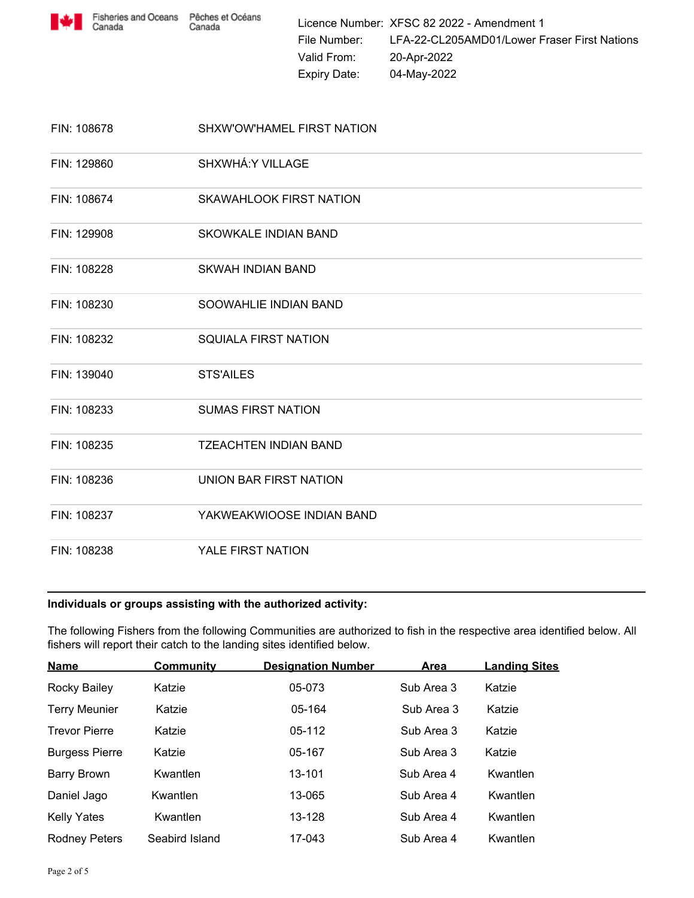

Licence Number: XFSC 82 2022 - Amendment 1 File Number: LFA-22-CL205AMD01/Lower Fraser First Nations Valid From: 20-Apr-2022 Expiry Date: 04-May-2022

| FIN: 108678 | SHXW'OW'HAMEL FIRST NATION     |
|-------------|--------------------------------|
| FIN: 129860 | SHXWHÁ: Y VILLAGE              |
| FIN: 108674 | <b>SKAWAHLOOK FIRST NATION</b> |
| FIN: 129908 | <b>SKOWKALE INDIAN BAND</b>    |
| FIN: 108228 | SKWAH INDIAN BAND              |
| FIN: 108230 | SOOWAHLIE INDIAN BAND          |
| FIN: 108232 | <b>SQUIALA FIRST NATION</b>    |
| FIN: 139040 | <b>STS'AILES</b>               |
| FIN: 108233 | <b>SUMAS FIRST NATION</b>      |
| FIN: 108235 | <b>TZEACHTEN INDIAN BAND</b>   |
| FIN: 108236 | UNION BAR FIRST NATION         |
| FIN: 108237 | YAKWEAKWIOOSE INDIAN BAND      |
| FIN: 108238 | YALE FIRST NATION              |

### **Individuals or groups assisting with the authorized activity:**

The following Fishers from the following Communities are authorized to fish in the respective area identified below. All fishers will report their catch to the landing sites identified below.

| <b>Name</b>           | <b>Community</b> | <b>Designation Number</b> | Area       | <b>Landing Sites</b> |
|-----------------------|------------------|---------------------------|------------|----------------------|
| Rocky Bailey          | Katzie           | 05-073                    | Sub Area 3 | Katzie               |
| <b>Terry Meunier</b>  | Katzie           | 05-164                    | Sub Area 3 | Katzie               |
| <b>Trevor Pierre</b>  | Katzie           | 05-112                    | Sub Area 3 | Katzie               |
| <b>Burgess Pierre</b> | Katzie           | 05-167                    | Sub Area 3 | Katzie               |
| <b>Barry Brown</b>    | Kwantlen         | 13-101                    | Sub Area 4 | Kwantlen             |
| Daniel Jago           | Kwantlen         | 13-065                    | Sub Area 4 | Kwantlen             |
| <b>Kelly Yates</b>    | Kwantlen         | 13-128                    | Sub Area 4 | Kwantlen             |
| <b>Rodney Peters</b>  | Seabird Island   | 17-043                    | Sub Area 4 | Kwantlen             |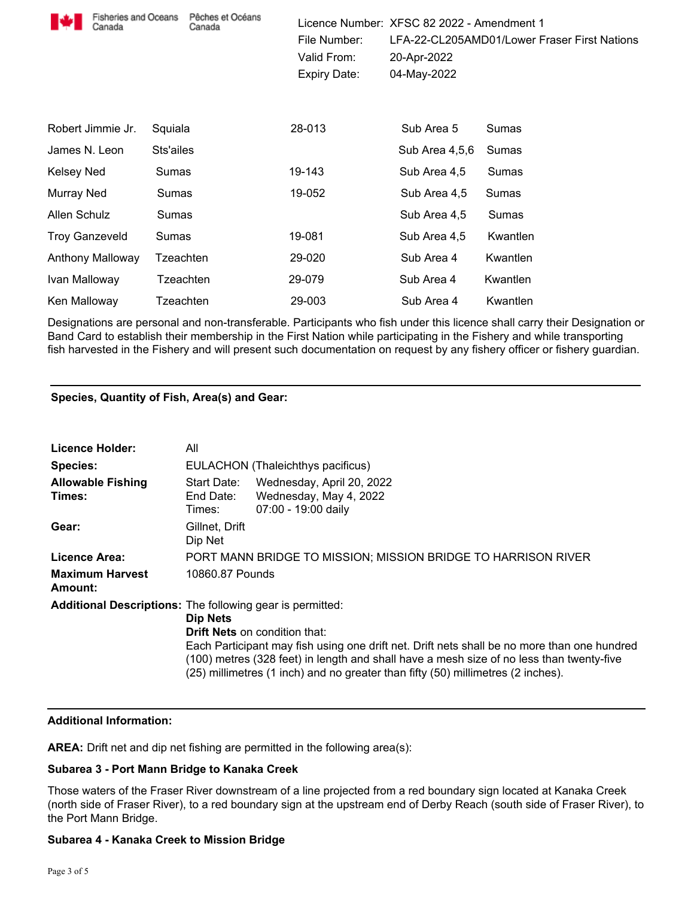| Fisheries and Oceans<br>Canada | Pêches et Océans<br>Canada | File Number:<br>Valid From:<br><b>Expiry Date:</b> | Licence Number: XFSC 82 2022 - Amendment 1<br>20-Apr-2022<br>04-May-2022 | LFA-22-CL205AMD01/Lower Fraser First Nations |
|--------------------------------|----------------------------|----------------------------------------------------|--------------------------------------------------------------------------|----------------------------------------------|
| Robert Jimmie Jr.              | Squiala                    | 28-013                                             | Sub Area 5                                                               | Sumas                                        |
| James N. Leon                  | Sts'ailes                  |                                                    | Sub Area 4,5,6                                                           | Sumas                                        |
| Kelsey Ned                     | Sumas                      | 19-143                                             | Sub Area 4,5                                                             | Sumas                                        |
| Murray Ned                     | Sumas                      | 19-052                                             | Sub Area 4,5                                                             | Sumas                                        |
| Allen Schulz                   | Sumas                      |                                                    | Sub Area 4,5                                                             | Sumas                                        |
| <b>Troy Ganzeveld</b>          | Sumas                      | 19-081                                             | Sub Area 4,5                                                             | Kwantlen                                     |
| Anthony Malloway               | Tzeachten                  | 29-020                                             | Sub Area 4                                                               | Kwantlen                                     |
| Ivan Malloway                  | Tzeachten                  | 29-079                                             | Sub Area 4                                                               | Kwantlen                                     |
| Ken Malloway                   | Tzeachten                  | 29-003                                             | Sub Area 4                                                               | Kwantlen                                     |

Designations are personal and non-transferable. Participants who fish under this licence shall carry their Designation or Band Card to establish their membership in the First Nation while participating in the Fishery and while transporting fish harvested in the Fishery and will present such documentation on request by any fishery officer or fishery guardian.

# **Species, Quantity of Fish, Area(s) and Gear:**

| <b>Licence Holder:</b>                                           | All                                                           |                                                                                                                                                                                                                                                                                                                     |  |
|------------------------------------------------------------------|---------------------------------------------------------------|---------------------------------------------------------------------------------------------------------------------------------------------------------------------------------------------------------------------------------------------------------------------------------------------------------------------|--|
| <b>Species:</b>                                                  | EULACHON (Thaleichthys pacificus)                             |                                                                                                                                                                                                                                                                                                                     |  |
| <b>Allowable Fishing</b><br>Times:                               | Start Date:<br>End Date:<br>Times:                            | Wednesday, April 20, 2022<br>Wednesday, May 4, 2022<br>07:00 - 19:00 daily                                                                                                                                                                                                                                          |  |
| Gear:                                                            | Gillnet, Drift<br>Dip Net                                     |                                                                                                                                                                                                                                                                                                                     |  |
| Licence Area:                                                    | PORT MANN BRIDGE TO MISSION; MISSION BRIDGE TO HARRISON RIVER |                                                                                                                                                                                                                                                                                                                     |  |
| <b>Maximum Harvest</b><br>Amount:                                | 10860.87 Pounds                                               |                                                                                                                                                                                                                                                                                                                     |  |
| <b>Additional Descriptions:</b> The following gear is permitted: | Dip Nets                                                      | <b>Drift Nets</b> on condition that:<br>Each Participant may fish using one drift net. Drift nets shall be no more than one hundred<br>(100) metres (328 feet) in length and shall have a mesh size of no less than twenty-five<br>(25) millimetres (1 inch) and no greater than fifty (50) millimetres (2 inches). |  |

# **Additional Information:**

**AREA:** Drift net and dip net fishing are permitted in the following area(s):

# **Subarea 3 - Port Mann Bridge to Kanaka Creek**

Those waters of the Fraser River downstream of a line projected from a red boundary sign located at Kanaka Creek (north side of Fraser River), to a red boundary sign at the upstream end of Derby Reach (south side of Fraser River), to the Port Mann Bridge.

# **Subarea 4 - Kanaka Creek to Mission Bridge**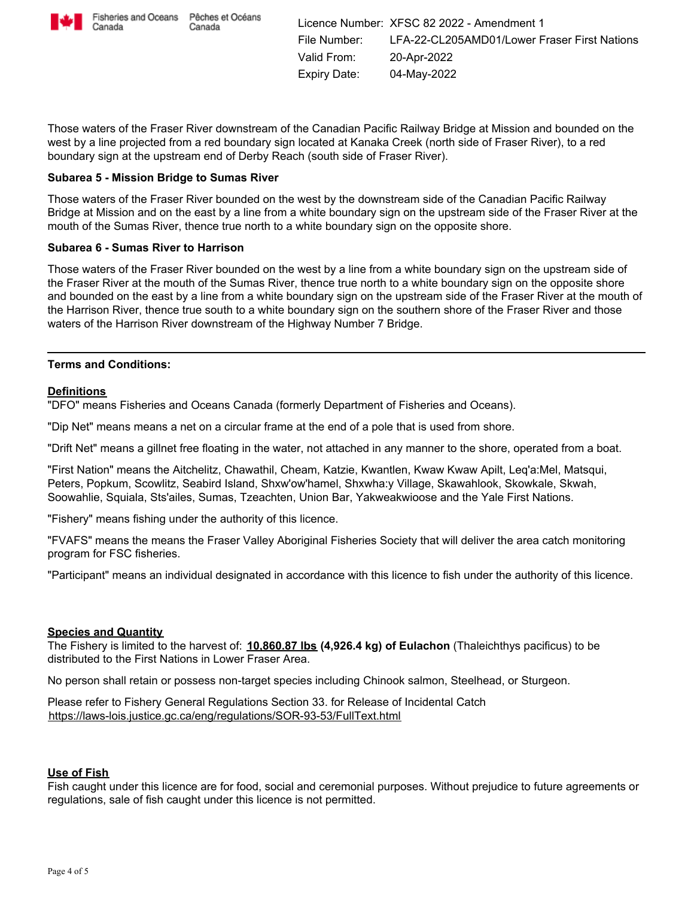

Canada

Licence Number: XFSC 82 2022 - Amendment 1 File Number: LFA-22-CL205AMD01/Lower Fraser First Nations Valid From: 20-Apr-2022 Expiry Date: 04-May-2022

Those waters of the Fraser River downstream of the Canadian Pacific Railway Bridge at Mission and bounded on the west by a line projected from a red boundary sign located at Kanaka Creek (north side of Fraser River), to a red boundary sign at the upstream end of Derby Reach (south side of Fraser River).

### **Subarea 5 - Mission Bridge to Sumas River**

Those waters of the Fraser River bounded on the west by the downstream side of the Canadian Pacific Railway Bridge at Mission and on the east by a line from a white boundary sign on the upstream side of the Fraser River at the mouth of the Sumas River, thence true north to a white boundary sign on the opposite shore.

### **Subarea 6 - Sumas River to Harrison**

Those waters of the Fraser River bounded on the west by a line from a white boundary sign on the upstream side of the Fraser River at the mouth of the Sumas River, thence true north to a white boundary sign on the opposite shore and bounded on the east by a line from a white boundary sign on the upstream side of the Fraser River at the mouth of the Harrison River, thence true south to a white boundary sign on the southern shore of the Fraser River and those waters of the Harrison River downstream of the Highway Number 7 Bridge.

### **Terms and Conditions:**

### **Definitions**

"DFO" means Fisheries and Oceans Canada (formerly Department of Fisheries and Oceans).

"Dip Net" means means a net on a circular frame at the end of a pole that is used from shore.

"Drift Net" means a gillnet free floating in the water, not attached in any manner to the shore, operated from a boat.

"First Nation" means the Aitchelitz, Chawathil, Cheam, Katzie, Kwantlen, Kwaw Kwaw Apilt, Leq'a:Mel, Matsqui, Peters, Popkum, Scowlitz, Seabird Island, Shxw'ow'hamel, Shxwha:y Village, Skawahlook, Skowkale, Skwah, Soowahlie, Squiala, Sts'ailes, Sumas, Tzeachten, Union Bar, Yakweakwioose and the Yale First Nations.

"Fishery" means fishing under the authority of this licence.

"FVAFS" means the means the Fraser Valley Aboriginal Fisheries Society that will deliver the area catch monitoring program for FSC fisheries.

"Participant" means an individual designated in accordance with this licence to fish under the authority of this licence.

### **Species and Quantity**

The Fishery is limited to the harvest of: **10,860.87 lbs (4,926.4 kg) of Eulachon** (Thaleichthys pacificus) to be distributed to the First Nations in Lower Fraser Area.

No person shall retain or possess non-target species including Chinook salmon, Steelhead, or Sturgeon.

Please refer to Fishery General Regulations Section 33. for Release of Incidental Catch https://laws-lois.justice.gc.ca/eng/regulations/SOR-93-53/FullText.html

### **Use of Fish**

Fish caught under this licence are for food, social and ceremonial purposes. Without prejudice to future agreements or regulations, sale of fish caught under this licence is not permitted.